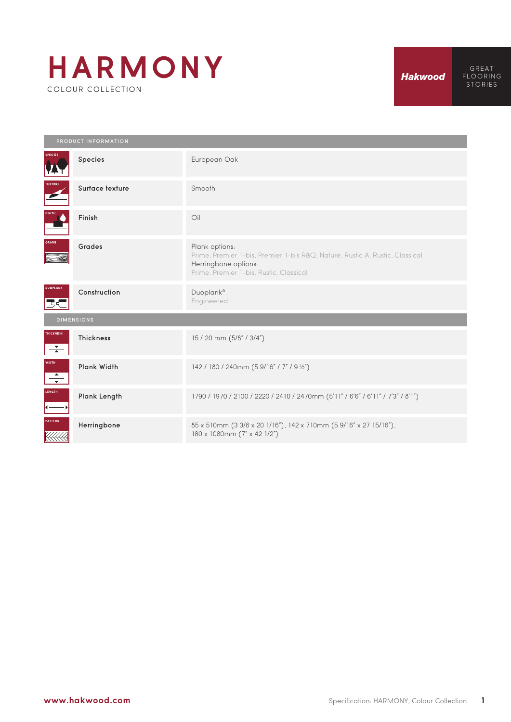## **HARMONY** COLOUR COLLECTION

| PRODUCT INFORMATION                      |                  |                                                                                                                                                                   |  |  |  |  |  |
|------------------------------------------|------------------|-------------------------------------------------------------------------------------------------------------------------------------------------------------------|--|--|--|--|--|
| <b>SPECIES</b>                           | Species          | European Oak                                                                                                                                                      |  |  |  |  |  |
| <b>TEXTURE</b>                           | Surface texture  | Smooth                                                                                                                                                            |  |  |  |  |  |
| <b>INISH</b>                             | Finish           | Oil                                                                                                                                                               |  |  |  |  |  |
| GRADE                                    | Grades           | Plank options:<br>Prime, Premier 1-bis, Premier 1-bis R&Q, Nature, Rustic A, Rustic, Classical<br>Herringbone options:<br>Prime, Premier 1-bis, Rustic, Classical |  |  |  |  |  |
| <b>DUOPLANK</b><br>下に                    | Construction     | Duoplank®<br>Engineered                                                                                                                                           |  |  |  |  |  |
| <b>DIMENSIONS</b>                        |                  |                                                                                                                                                                   |  |  |  |  |  |
| <b>THICKNESS</b><br>$\overline{\bullet}$ | <b>Thickness</b> | 15 / 20 mm (5/8" / 3/4")                                                                                                                                          |  |  |  |  |  |
| <b>WIDTH</b><br>$\overline{\phantom{0}}$ | Plank Width      | 142 / 180 / 240mm (5 9/16" / 7" / 9 1/2")                                                                                                                         |  |  |  |  |  |
| <b>LENGTH</b>                            | Plank Length     | 1790 / 1970 / 2100 / 2220 / 2410 / 2470mm (5'11" / 6'6" / 6'11" / 7'3" / 8'1")                                                                                    |  |  |  |  |  |
| <b>PATTERN</b>                           | Herringbone      | 85 x 510mm (3 3/8 x 20 1/16"), 142 x 710mm (5 9/16" x 27 15/16"),<br>180 x 1080mm (7" x 42 1/2")                                                                  |  |  |  |  |  |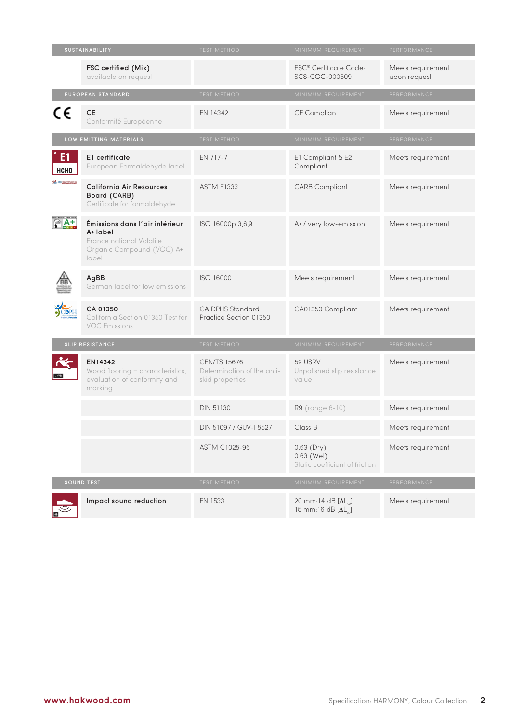| <b>SUSTAINABILITY</b>         |                                                                                                              | <b>TEST METHOD</b>                                                   | MINIMUM REQUIREMENT                                          | PERFORMANCE                       |
|-------------------------------|--------------------------------------------------------------------------------------------------------------|----------------------------------------------------------------------|--------------------------------------------------------------|-----------------------------------|
|                               | FSC certified (Mix)<br>available on request                                                                  |                                                                      | FSC® Certificate Code:<br>SCS-COC-000609                     | Meets requirement<br>upon request |
| EUROPEAN STANDARD             |                                                                                                              | <b>TEST METHOD</b>                                                   | MINIMUM REQUIREMENT                                          | PERFORMANCE                       |
| C€                            | <b>CE</b><br>Conformité Européenne                                                                           | EN 14342                                                             | <b>CE Compliant</b>                                          | Meets requirement                 |
|                               | LOW EMITTING MATERIALS                                                                                       | <b>TEST METHOD</b>                                                   | MINIMUM REQUIREMENT                                          | PERFORMANCE                       |
| E <sub>1</sub><br><b>НСНО</b> | E1 certificate<br>European Formaldehyde label                                                                | EN 717-7                                                             | E1 Compliant & E2<br>Compliant                               | Meets requirement                 |
| <b>COMPOSITIONS</b>           | <b>California Air Resources</b><br>Board (CARB)<br>Certificate for formaldehyde                              | <b>ASTM E1333</b>                                                    | <b>CARB Compliant</b>                                        | Meets requirement                 |
|                               | Émissions dans l'air intérieur<br>A+ label<br>France national Volatile<br>Organic Compound (VOC) A+<br>label | ISO 16000p 3,6,9                                                     | A+ / very low-emission                                       | Meets requirement                 |
|                               | AgBB<br>German label for low emissions                                                                       | ISO 16000                                                            | Meets requirement                                            | Meets requirement                 |
|                               | CA 01350<br>California Section 01350 Test for<br><b>VOC Emissions</b>                                        | CA DPHS Standard<br>Practice Section 01350                           | CA01350 Compliant                                            | Meets requirement                 |
| SLIP RESISTANCE               |                                                                                                              | <b>TEST METHOD</b>                                                   | MINIMUM REQUIREMENT                                          | PERFORMANCE                       |
|                               | EN14342<br>Wood flooring - characteristics,<br>evaluation of conformity and<br>marking                       | <b>CEN/TS 15676</b><br>Determination of the anti-<br>skid properties | 59 USRV<br>Unpolished slip resistance<br>value               | Meets requirement                 |
|                               |                                                                                                              | DIN 51130                                                            | R9 (range 6-10)                                              | Meets requirement                 |
|                               |                                                                                                              | DIN 51097 / GUV-I 8527                                               | Class B                                                      | Meets requirement                 |
|                               |                                                                                                              | ASTM C1028-96                                                        | $0.63$ (Dry)<br>0.63 (Wet)<br>Static coefficient of friction | Meets requirement                 |
| SOUND TEST                    |                                                                                                              | <b>TEST METHOD</b>                                                   | MINIMUM REQUIREMENT                                          | PERFORMANCE                       |
|                               | Impact sound reduction                                                                                       | EN 1533                                                              | 20 mm:14 dB $[\Delta L_{\ldots}]$<br>15 mm:16 dB [ΔL ]       | Meets requirement                 |